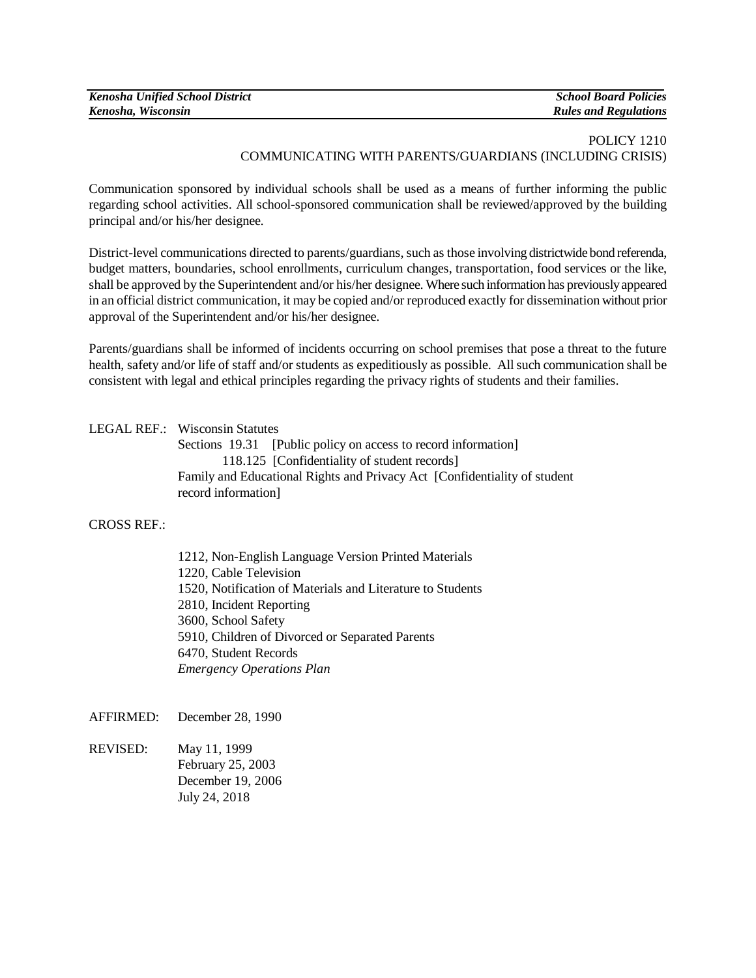| Kenosha Unified School District | <b>School Board Policies</b> |
|---------------------------------|------------------------------|
| Kenosha, Wisconsin              | <b>Rules and Regulations</b> |

## POLICY 1210 COMMUNICATING WITH PARENTS/GUARDIANS (INCLUDING CRISIS)

Communication sponsored by individual schools shall be used as a means of further informing the public regarding school activities. All school-sponsored communication shall be reviewed/approved by the building principal and/or his/her designee.

District-level communications directed to parents/guardians, such as those involving districtwide bond referenda, budget matters, boundaries, school enrollments, curriculum changes, transportation, food services or the like, shall be approved by the Superintendent and/or his/her designee. Where such information has previously appeared in an official district communication, it may be copied and/or reproduced exactly for dissemination without prior approval of the Superintendent and/or his/her designee.

Parents/guardians shall be informed of incidents occurring on school premises that pose a threat to the future health, safety and/or life of staff and/or students as expeditiously as possible. All such communication shall be consistent with legal and ethical principles regarding the privacy rights of students and their families.

### LEGAL REF.: Wisconsin Statutes

Sections 19.31 [Public policy on access to record information] 118.125 [Confidentiality of student records] Family and Educational Rights and Privacy Act [Confidentiality of student record information]

#### CROSS REF.:

1212, Non-English Language Version Printed Materials 1220, Cable Television 1520, Notification of Materials and Literature to Students 2810, Incident Reporting 3600, School Safety 5910, Children of Divorced or Separated Parents 6470, Student Records *Emergency Operations Plan*

AFFIRMED: December 28, 1990

REVISED: May 11, 1999 February 25, 2003 December 19, 2006 July 24, 2018